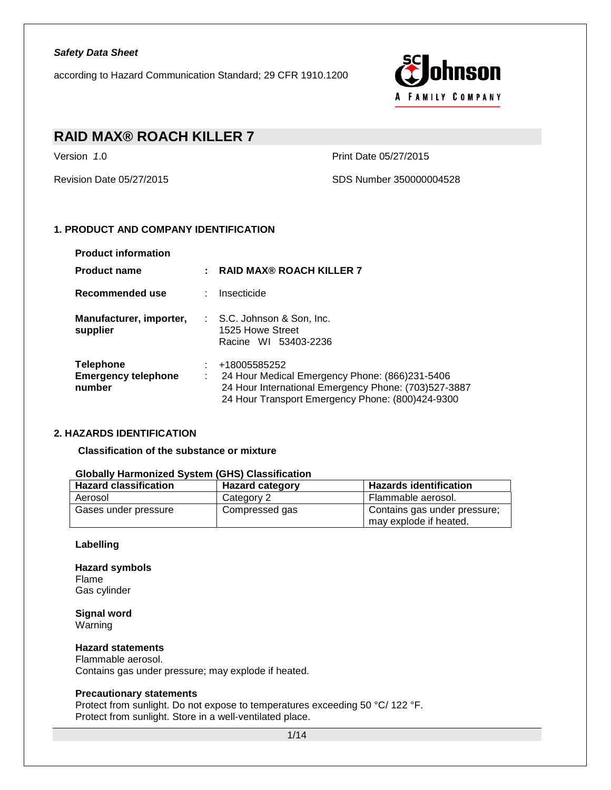according to Hazard Communication Standard; 29 CFR 1910.1200



# **RAID MAX® ROACH KILLER 7**

Version *1*.0 Print Date 05/27/2015

Revision Date 05/27/2015 SDS Number 350000004528

## **1. PRODUCT AND COMPANY IDENTIFICATION**

| <b>Product information</b>                               |                                                                                                                                                                            |
|----------------------------------------------------------|----------------------------------------------------------------------------------------------------------------------------------------------------------------------------|
| <b>Product name</b>                                      | RAID MAX® ROACH KILLER 7                                                                                                                                                   |
| Recommended use                                          | : Insecticide                                                                                                                                                              |
| Manufacturer, importer,<br>supplier                      | $\therefore$ S.C. Johnson & Son, Inc.<br>1525 Howe Street<br>Racine WI 53403-2236                                                                                          |
| <b>Telephone</b><br><b>Emergency telephone</b><br>number | +18005585252<br>24 Hour Medical Emergency Phone: (866)231-5406<br>24 Hour International Emergency Phone: (703)527-3887<br>24 Hour Transport Emergency Phone: (800)424-9300 |

### **2. HAZARDS IDENTIFICATION**

**Classification of the substance or mixture**

| <b>Hazard classification</b> | <b>Hazard category</b> | <b>Hazards identification</b>                          |
|------------------------------|------------------------|--------------------------------------------------------|
| Aerosol                      | Category 2             | Flammable aerosol.                                     |
| Gases under pressure         | Compressed gas         | Contains gas under pressure;<br>may explode if heated. |

### **Globally Harmonized System (GHS) Classification**

#### **Labelling**

**Hazard symbols** Flame Gas cylinder

**Signal word** Warning

**Hazard statements**

Flammable aerosol. Contains gas under pressure; may explode if heated.

#### **Precautionary statements**

Protect from sunlight. Do not expose to temperatures exceeding 50 °C/ 122 °F. Protect from sunlight. Store in a well-ventilated place.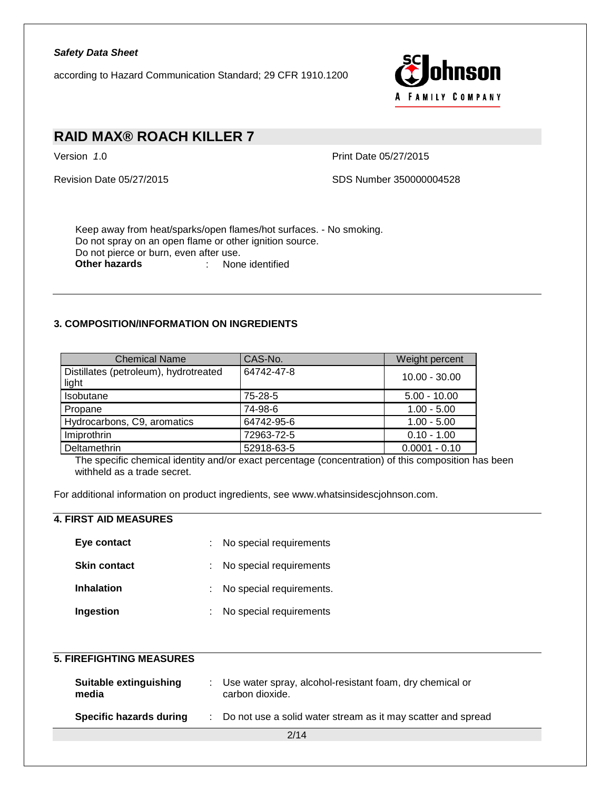according to Hazard Communication Standard; 29 CFR 1910.1200



# **RAID MAX® ROACH KILLER 7**

Version *1*.0 Print Date 05/27/2015

Revision Date 05/27/2015 SDS Number 350000004528

Keep away from heat/sparks/open flames/hot surfaces. - No smoking. Do not spray on an open flame or other ignition source. Do not pierce or burn, even after use.<br>Other hazards : None **Other hazards** : None identified

## **3. COMPOSITION/INFORMATION ON INGREDIENTS**

| <b>Chemical Name</b>                           | CAS-No.    | Weight percent  |
|------------------------------------------------|------------|-----------------|
| Distillates (petroleum), hydrotreated<br>light | 64742-47-8 | $10.00 - 30.00$ |
| Isobutane                                      | 75-28-5    | $5.00 - 10.00$  |
| Propane                                        | 74-98-6    | $1.00 - 5.00$   |
| Hydrocarbons, C9, aromatics                    | 64742-95-6 | $1.00 - 5.00$   |
| Imiprothrin                                    | 72963-72-5 | $0.10 - 1.00$   |
| Deltamethrin                                   | 52918-63-5 | $0.0001 - 0.10$ |

The specific chemical identity and/or exact percentage (concentration) of this composition has been withheld as a trade secret.

For additional information on product ingredients, see www.whatsinsidescjohnson.com.

## **4. FIRST AID MEASURES**

| Eye contact         | : No special requirements  |
|---------------------|----------------------------|
| <b>Skin contact</b> | : No special requirements  |
| <b>Inhalation</b>   | : No special requirements. |
| Ingestion           | : No special requirements  |

## **5. FIREFIGHTING MEASURES**

| Suitable extinguishing<br>media | Use water spray, alcohol-resistant foam, dry chemical or<br>carbon dioxide. |
|---------------------------------|-----------------------------------------------------------------------------|
| Specific hazards during         | Do not use a solid water stream as it may scatter and spread                |
|                                 | 2/14                                                                        |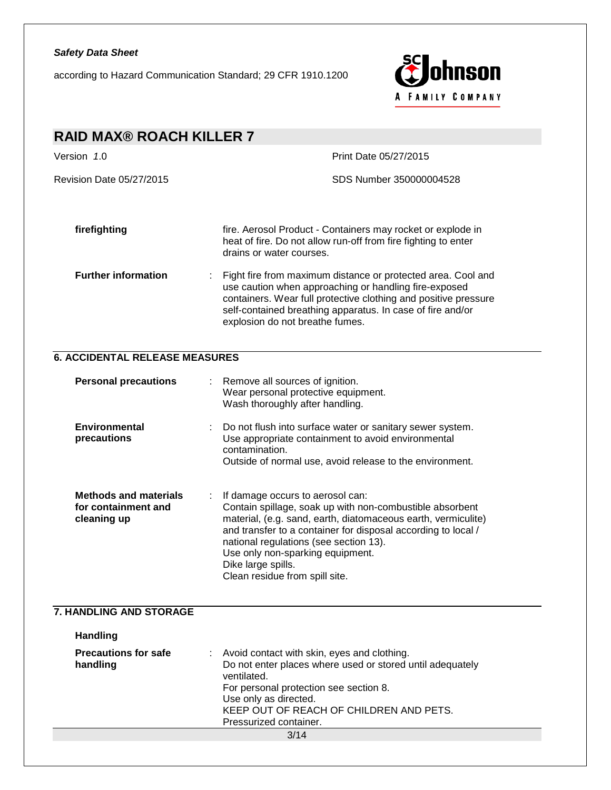according to Hazard Communication Standard; 29 CFR 1910.1200



| <b>RAID MAX® ROACH KILLER 7</b>                                    |                                                                                                                                                                                                                                                                                                                                                                      |  |  |
|--------------------------------------------------------------------|----------------------------------------------------------------------------------------------------------------------------------------------------------------------------------------------------------------------------------------------------------------------------------------------------------------------------------------------------------------------|--|--|
| Version 1.0                                                        | Print Date 05/27/2015                                                                                                                                                                                                                                                                                                                                                |  |  |
| Revision Date 05/27/2015                                           | SDS Number 350000004528                                                                                                                                                                                                                                                                                                                                              |  |  |
|                                                                    |                                                                                                                                                                                                                                                                                                                                                                      |  |  |
| firefighting                                                       | fire. Aerosol Product - Containers may rocket or explode in<br>heat of fire. Do not allow run-off from fire fighting to enter<br>drains or water courses.                                                                                                                                                                                                            |  |  |
| <b>Further information</b><br>÷                                    | Fight fire from maximum distance or protected area. Cool and<br>use caution when approaching or handling fire-exposed<br>containers. Wear full protective clothing and positive pressure<br>self-contained breathing apparatus. In case of fire and/or<br>explosion do not breathe fumes.                                                                            |  |  |
| <b>6. ACCIDENTAL RELEASE MEASURES</b>                              |                                                                                                                                                                                                                                                                                                                                                                      |  |  |
| <b>Personal precautions</b>                                        | Remove all sources of ignition.<br>Wear personal protective equipment.<br>Wash thoroughly after handling.                                                                                                                                                                                                                                                            |  |  |
| <b>Environmental</b><br>precautions                                | Do not flush into surface water or sanitary sewer system.<br>Use appropriate containment to avoid environmental<br>contamination.<br>Outside of normal use, avoid release to the environment.                                                                                                                                                                        |  |  |
| <b>Methods and materials</b><br>for containment and<br>cleaning up | If damage occurs to aerosol can:<br>Contain spillage, soak up with non-combustible absorbent<br>material, (e.g. sand, earth, diatomaceous earth, vermiculite)<br>and transfer to a container for disposal according to local /<br>national regulations (see section 13).<br>Use only non-sparking equipment.<br>Dike large spills.<br>Clean residue from spill site. |  |  |
| 7. HANDLING AND STORAGE                                            |                                                                                                                                                                                                                                                                                                                                                                      |  |  |
| <b>Handling</b>                                                    |                                                                                                                                                                                                                                                                                                                                                                      |  |  |
| <b>Precautions for safe</b><br>handling                            | Avoid contact with skin, eyes and clothing.<br>Do not enter places where used or stored until adequately<br>ventilated.<br>For personal protection see section 8.<br>Use only as directed.<br>KEEP OUT OF REACH OF CHILDREN AND PETS.<br>Pressurized container.                                                                                                      |  |  |
|                                                                    | 3/14                                                                                                                                                                                                                                                                                                                                                                 |  |  |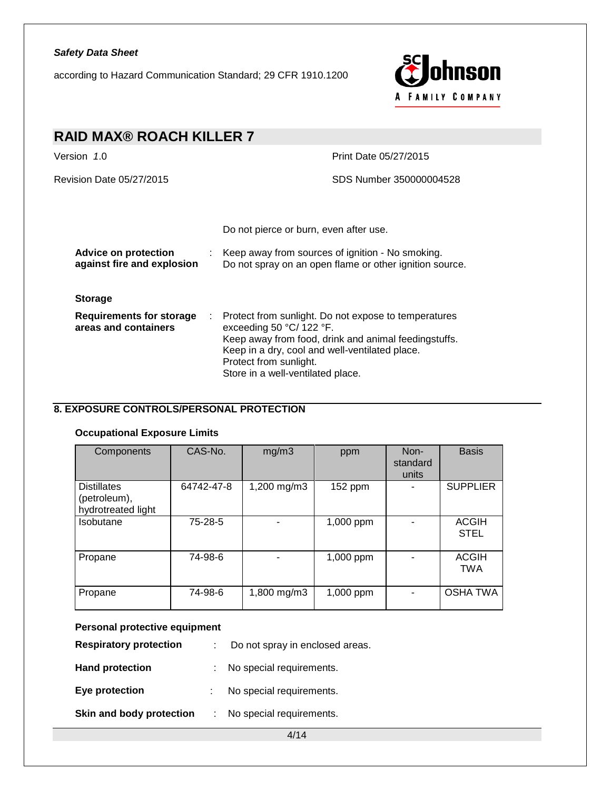according to Hazard Communication Standard; 29 CFR 1910.1200



## **RAID MAX® ROACH KILLER 7** Version *1*.0 Print Date 05/27/2015 Revision Date 05/27/2015 SDS Number 350000004528 Do not pierce or burn, even after use. **Advice on protection against fire and explosion** : Keep away from sources of ignition - No smoking. Do not spray on an open flame or other ignition source. **Storage Requirements for storage** : Protect from sunlight. Do not expose to temperatures **areas and containers** exceeding 50 °C/ 122 °F. Keep away from food, drink and animal feedingstuffs. Keep in a dry, cool and well-ventilated place. Protect from sunlight. Store in a well-ventilated place.

## **8. EXPOSURE CONTROLS/PERSONAL PROTECTION**

#### **Occupational Exposure Limits**

| Components                                               | CAS-No.    | mg/m3       | ppm       | Non-<br>standard<br>units | <b>Basis</b>                |
|----------------------------------------------------------|------------|-------------|-----------|---------------------------|-----------------------------|
| <b>Distillates</b><br>(petroleum),<br>hydrotreated light | 64742-47-8 | 1,200 mg/m3 | 152 ppm   |                           | <b>SUPPLIER</b>             |
| Isobutane                                                | 75-28-5    |             | 1,000 ppm |                           | <b>ACGIH</b><br><b>STEL</b> |
| Propane                                                  | 74-98-6    |             | 1,000 ppm |                           | <b>ACGIH</b><br><b>TWA</b>  |
| Propane                                                  | 74-98-6    | 1,800 mg/m3 | 1,000 ppm |                           | <b>OSHA TWA</b>             |

#### **Personal protective equipment**

| <b>Respiratory protection</b> | Do not spray in enclosed areas. |
|-------------------------------|---------------------------------|
| <b>Hand protection</b>        | No special requirements.        |
| Eye protection                | No special requirements.        |
| Skin and body protection      | No special requirements.        |

4/14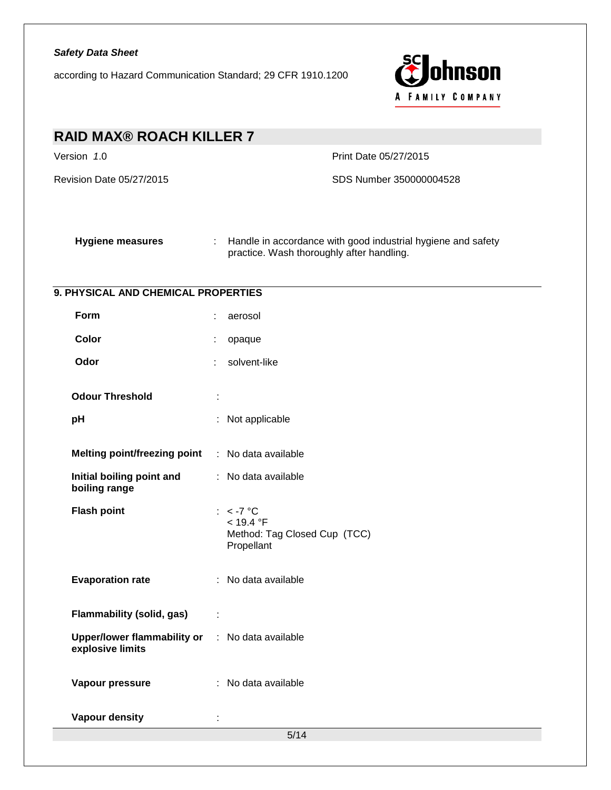according to Hazard Communication Standard; 29 CFR 1910.1200



| <b>RAID MAX® ROACH KILLER 7</b>                        |                                                                                                                                           |  |  |  |
|--------------------------------------------------------|-------------------------------------------------------------------------------------------------------------------------------------------|--|--|--|
| Version 1.0                                            | Print Date 05/27/2015                                                                                                                     |  |  |  |
| Revision Date 05/27/2015                               | SDS Number 350000004528                                                                                                                   |  |  |  |
| <b>Hygiene measures</b>                                | Handle in accordance with good industrial hygiene and safety<br>$\mathcal{L}_{\mathrm{max}}$<br>practice. Wash thoroughly after handling. |  |  |  |
| 9. PHYSICAL AND CHEMICAL PROPERTIES                    |                                                                                                                                           |  |  |  |
| Form                                                   | aerosol                                                                                                                                   |  |  |  |
| Color                                                  | opaque                                                                                                                                    |  |  |  |
| Odor                                                   | solvent-like                                                                                                                              |  |  |  |
| <b>Odour Threshold</b>                                 |                                                                                                                                           |  |  |  |
| рH                                                     | Not applicable                                                                                                                            |  |  |  |
| Melting point/freezing point : No data available       |                                                                                                                                           |  |  |  |
| Initial boiling point and<br>boiling range             | : No data available                                                                                                                       |  |  |  |
| <b>Flash point</b>                                     | $: < -7$ °C<br>< 19.4 °F<br>Method: Tag Closed Cup (TCC)<br>Propellant                                                                    |  |  |  |
| <b>Evaporation rate</b>                                | : No data available                                                                                                                       |  |  |  |
| <b>Flammability (solid, gas)</b><br>÷                  |                                                                                                                                           |  |  |  |
| <b>Upper/lower flammability or</b><br>explosive limits | No data available<br>÷.                                                                                                                   |  |  |  |
| Vapour pressure                                        | : No data available                                                                                                                       |  |  |  |
| <b>Vapour density</b>                                  |                                                                                                                                           |  |  |  |
|                                                        | 5/14                                                                                                                                      |  |  |  |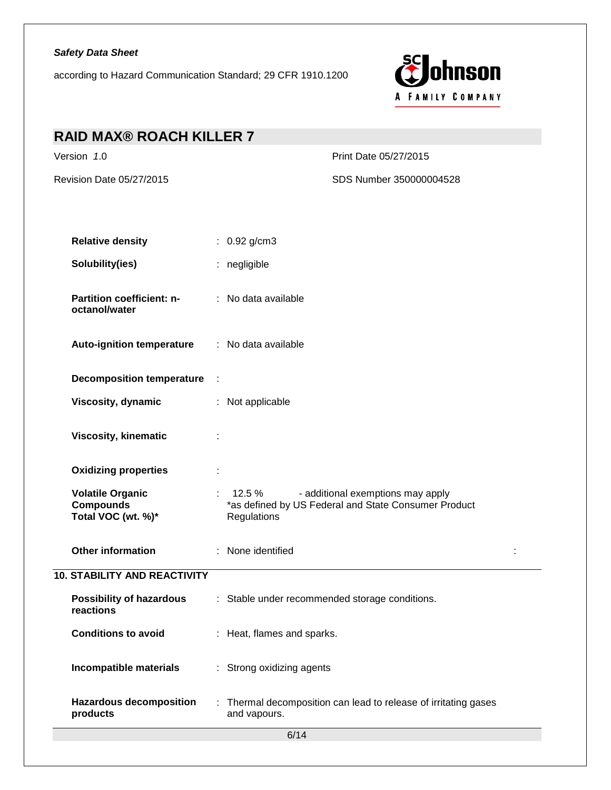according to Hazard Communication Standard; 29 CFR 1910.1200



| <b>RAID MAX® ROACH KILLER 7</b>                                   |                                                                                                                                                                                                                                                                                                                                                                                                                                                                                                                                                     |
|-------------------------------------------------------------------|-----------------------------------------------------------------------------------------------------------------------------------------------------------------------------------------------------------------------------------------------------------------------------------------------------------------------------------------------------------------------------------------------------------------------------------------------------------------------------------------------------------------------------------------------------|
| Version 1.0                                                       | Print Date 05/27/2015                                                                                                                                                                                                                                                                                                                                                                                                                                                                                                                               |
| Revision Date 05/27/2015                                          | SDS Number 350000004528                                                                                                                                                                                                                                                                                                                                                                                                                                                                                                                             |
| <b>Relative density</b>                                           | : $0.92$ g/cm3                                                                                                                                                                                                                                                                                                                                                                                                                                                                                                                                      |
| Solubility(ies)                                                   | : negligible                                                                                                                                                                                                                                                                                                                                                                                                                                                                                                                                        |
| Partition coefficient: n-<br>octanol/water                        | : No data available                                                                                                                                                                                                                                                                                                                                                                                                                                                                                                                                 |
| <b>Auto-ignition temperature</b>                                  | : No data available                                                                                                                                                                                                                                                                                                                                                                                                                                                                                                                                 |
| Decomposition temperature :                                       |                                                                                                                                                                                                                                                                                                                                                                                                                                                                                                                                                     |
| Viscosity, dynamic                                                | : Not applicable                                                                                                                                                                                                                                                                                                                                                                                                                                                                                                                                    |
| <b>Viscosity, kinematic</b>                                       |                                                                                                                                                                                                                                                                                                                                                                                                                                                                                                                                                     |
| <b>Oxidizing properties</b>                                       | ÷                                                                                                                                                                                                                                                                                                                                                                                                                                                                                                                                                   |
| <b>Volatile Organic</b><br><b>Compounds</b><br>Total VOC (wt. %)* | $\mathcal{I}^{\mathcal{I}^{\mathcal{I}^{\mathcal{I}^{\mathcal{I}^{\mathcal{I}^{\mathcal{I}^{\mathcal{I}^{\mathcal{I}^{\mathcal{I}^{\mathcal{I}^{\mathcal{I}^{\mathcal{I}^{\mathcal{I}^{\mathcal{I}^{\mathcal{I}^{\mathcal{I}^{\mathcal{I}^{\mathcal{I}^{\mathcal{I}^{\mathcal{I}^{\mathcal{I}^{\mathcal{I}^{\mathcal{I}^{\mathcal{I}^{\mathcal{I}^{\mathcal{I}^{\mathcal{I}^{\mathcal{I}^{\mathcal{I}^{\mathcal{I}^{\mathcal$<br>12.5 %<br>- additional exemptions may apply<br>*as defined by US Federal and State Consumer Product<br>Regulations |
| <b>Other information</b>                                          | : None identified                                                                                                                                                                                                                                                                                                                                                                                                                                                                                                                                   |
| <b>10. STABILITY AND REACTIVITY</b>                               |                                                                                                                                                                                                                                                                                                                                                                                                                                                                                                                                                     |
| <b>Possibility of hazardous</b><br>reactions                      | : Stable under recommended storage conditions.                                                                                                                                                                                                                                                                                                                                                                                                                                                                                                      |
| <b>Conditions to avoid</b>                                        | : Heat, flames and sparks.                                                                                                                                                                                                                                                                                                                                                                                                                                                                                                                          |
| Incompatible materials                                            | : Strong oxidizing agents                                                                                                                                                                                                                                                                                                                                                                                                                                                                                                                           |
| <b>Hazardous decomposition</b><br>products                        | : Thermal decomposition can lead to release of irritating gases<br>and vapours.                                                                                                                                                                                                                                                                                                                                                                                                                                                                     |
|                                                                   | 6/14                                                                                                                                                                                                                                                                                                                                                                                                                                                                                                                                                |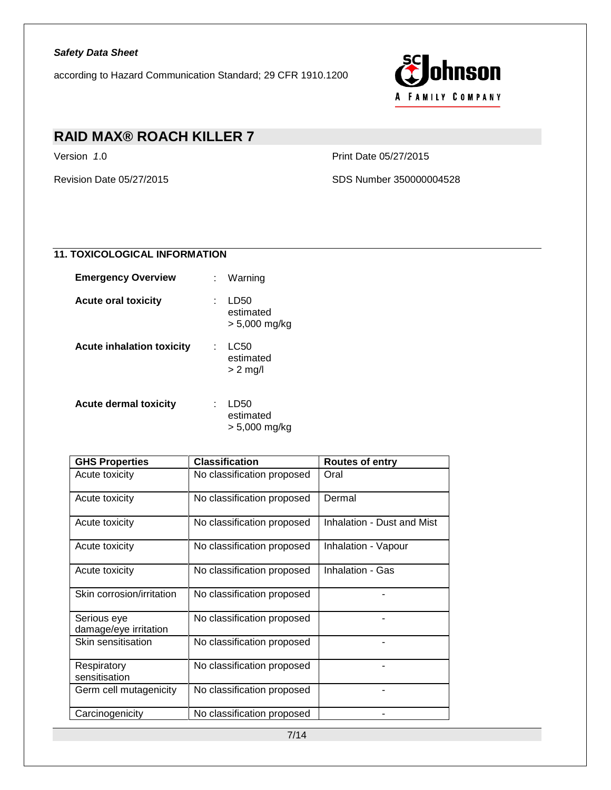according to Hazard Communication Standard; 29 CFR 1910.1200



# **RAID MAX® ROACH KILLER 7**

Version *1*.0 Print Date 05/27/2015

Revision Date 05/27/2015 SDS Number 350000004528

## **11. TOXICOLOGICAL INFORMATION**

| <b>Emergency Overview</b>        | Warning                            |
|----------------------------------|------------------------------------|
| <b>Acute oral toxicity</b>       | LD50<br>estimated<br>> 5,000 mg/kg |
| <b>Acute inhalation toxicity</b> | LC50<br>estimated<br>$> 2$ mg/l    |
| <b>Acute dermal toxicity</b>     | LD50<br>estimated<br>> 5,000 mg/kg |

| <b>GHS Properties</b>                | <b>Classification</b>      | <b>Routes of entry</b>     |
|--------------------------------------|----------------------------|----------------------------|
| Acute toxicity                       | No classification proposed | Oral                       |
| Acute toxicity                       | No classification proposed | Dermal                     |
| Acute toxicity                       | No classification proposed | Inhalation - Dust and Mist |
| Acute toxicity                       | No classification proposed | Inhalation - Vapour        |
| Acute toxicity                       | No classification proposed | Inhalation - Gas           |
| Skin corrosion/irritation            | No classification proposed |                            |
| Serious eye<br>damage/eye irritation | No classification proposed |                            |
| Skin sensitisation                   | No classification proposed |                            |
| Respiratory<br>sensitisation         | No classification proposed |                            |
| Germ cell mutagenicity               | No classification proposed |                            |
| Carcinogenicity                      | No classification proposed |                            |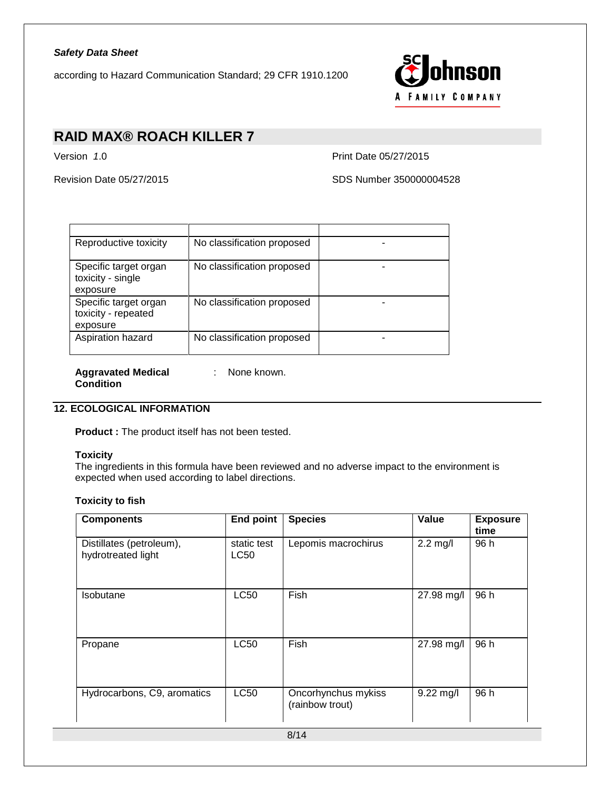according to Hazard Communication Standard; 29 CFR 1910.1200



## **RAID MAX® ROACH KILLER 7**

Version *1*.0 Print Date 05/27/2015

Revision Date 05/27/2015 SDS Number 350000004528

| Reproductive toxicity                                    | No classification proposed |  |
|----------------------------------------------------------|----------------------------|--|
| Specific target organ<br>toxicity - single<br>exposure   | No classification proposed |  |
| Specific target organ<br>toxicity - repeated<br>exposure | No classification proposed |  |
| Aspiration hazard                                        | No classification proposed |  |

**Aggravated Medical Condition** : None known.

## **12. ECOLOGICAL INFORMATION**

**Product :** The product itself has not been tested.

#### **Toxicity**

The ingredients in this formula have been reviewed and no adverse impact to the environment is expected when used according to label directions.

#### **Toxicity to fish**

| <b>Components</b>                              | <b>End point</b>    | <b>Species</b>                         | Value       | <b>Exposure</b><br>time |
|------------------------------------------------|---------------------|----------------------------------------|-------------|-------------------------|
| Distillates (petroleum),<br>hydrotreated light | static test<br>LC50 | Lepomis macrochirus                    | $2.2$ mg/l  | 96 h                    |
| <b>Isobutane</b>                               | <b>LC50</b>         | Fish                                   | 27.98 mg/l  | 96 h                    |
| Propane                                        | <b>LC50</b>         | Fish                                   | 27.98 mg/l  | 96 h                    |
| Hydrocarbons, C9, aromatics                    | <b>LC50</b>         | Oncorhynchus mykiss<br>(rainbow trout) | $9.22$ mg/l | 96 h                    |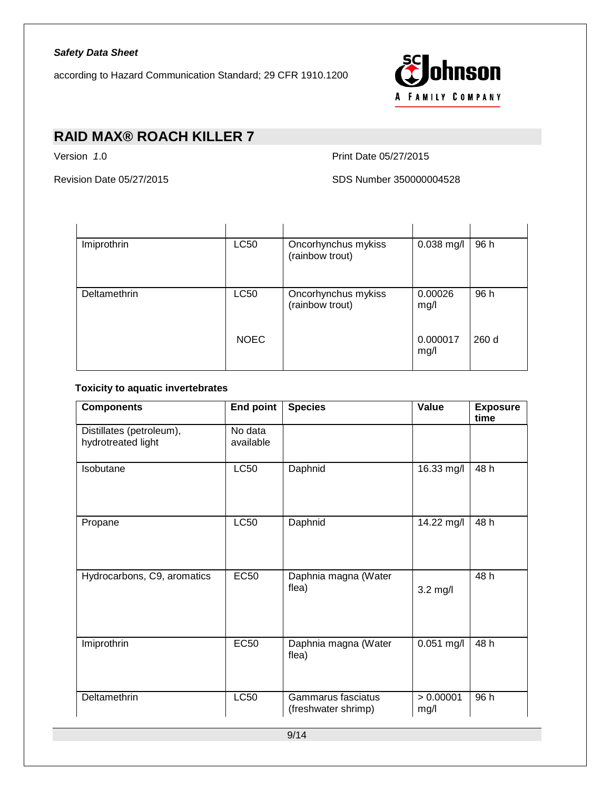according to Hazard Communication Standard; 29 CFR 1910.1200



# **RAID MAX® ROACH KILLER 7**

Version *1*.0 Print Date 05/27/2015

Revision Date 05/27/2015 SDS Number 350000004528

| Imiprothrin  | <b>LC50</b> | Oncorhynchus mykiss<br>(rainbow trout) | $0.038$ mg/l     | 96 h |
|--------------|-------------|----------------------------------------|------------------|------|
| Deltamethrin | <b>LC50</b> | Oncorhynchus mykiss<br>(rainbow trout) | 0.00026<br>mg/l  | 96 h |
|              | <b>NOEC</b> |                                        | 0.000017<br>mg/l | 260d |

#### **Toxicity to aquatic invertebrates**

| <b>Components</b>                              | <b>End point</b>     | <b>Species</b>                            | Value             | <b>Exposure</b><br>time |
|------------------------------------------------|----------------------|-------------------------------------------|-------------------|-------------------------|
| Distillates (petroleum),<br>hydrotreated light | No data<br>available |                                           |                   |                         |
| Isobutane                                      | <b>LC50</b>          | Daphnid                                   | 16.33 mg/l        | 48 h                    |
| Propane                                        | <b>LC50</b>          | Daphnid                                   | 14.22 mg/l        | 48 h                    |
| Hydrocarbons, C9, aromatics                    | <b>EC50</b>          | Daphnia magna (Water<br>flea)             | $3.2$ mg/l        | 48 h                    |
| Imiprothrin                                    | <b>EC50</b>          | Daphnia magna (Water<br>flea)             | $0.051$ mg/l      | 48 h                    |
| Deltamethrin                                   | <b>LC50</b>          | Gammarus fasciatus<br>(freshwater shrimp) | > 0.00001<br>mg/l | 96 h                    |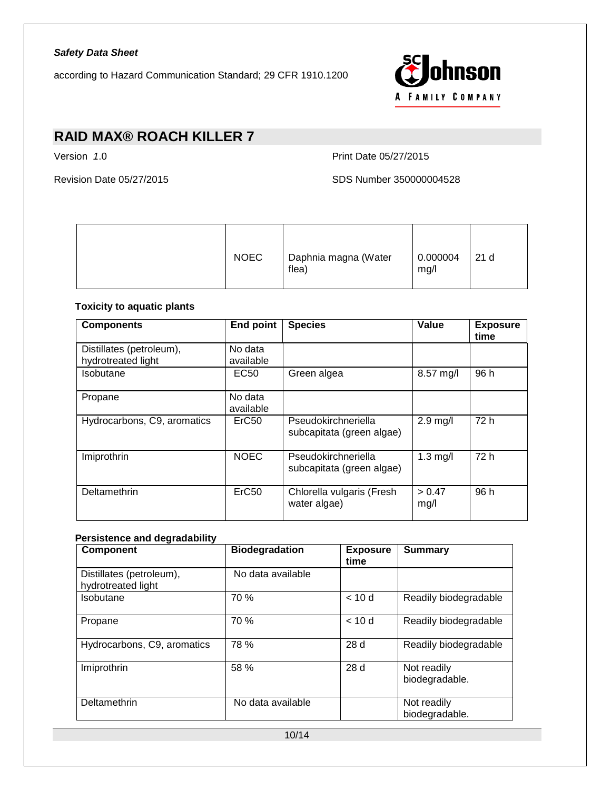according to Hazard Communication Standard; 29 CFR 1910.1200



# **RAID MAX® ROACH KILLER 7**

Version *1*.0 Print Date 05/27/2015

Revision Date 05/27/2015 SDS Number 350000004528

|  | <b>NOEC</b> | Daphnia magna (Water<br>flea) | 0.000004<br>mg/l | 21 d |
|--|-------------|-------------------------------|------------------|------|
|--|-------------|-------------------------------|------------------|------|

### **Toxicity to aquatic plants**

| <b>Components</b>                              | <b>End point</b>     | <b>Species</b>                                   | Value          | <b>Exposure</b><br>time |
|------------------------------------------------|----------------------|--------------------------------------------------|----------------|-------------------------|
| Distillates (petroleum),<br>hydrotreated light | No data<br>available |                                                  |                |                         |
| Isobutane                                      | EC50                 | Green algea                                      | 8.57 mg/l      | 96 h                    |
| Propane                                        | No data<br>available |                                                  |                |                         |
| Hydrocarbons, C9, aromatics                    | ErC <sub>50</sub>    | Pseudokirchneriella<br>subcapitata (green algae) | $2.9$ mg/l     | 72 h                    |
| Imiprothrin                                    | <b>NOEC</b>          | Pseudokirchneriella<br>subcapitata (green algae) | $1.3$ mg/l     | 72 h                    |
| Deltamethrin                                   | ErC <sub>50</sub>    | Chlorella vulgaris (Fresh<br>water algae)        | > 0.47<br>mg/l | 96 h                    |

## **Persistence and degradability**

| <b>Component</b>                               | <b>Biodegradation</b> | <b>Exposure</b><br>time | <b>Summary</b>                |
|------------------------------------------------|-----------------------|-------------------------|-------------------------------|
| Distillates (petroleum),<br>hydrotreated light | No data available     |                         |                               |
| Isobutane                                      | 70%                   | < 10d                   | Readily biodegradable         |
| Propane                                        | 70 %                  | < 10d                   | Readily biodegradable         |
| Hydrocarbons, C9, aromatics                    | 78 %                  | 28d                     | Readily biodegradable         |
| Imiprothrin                                    | 58 %                  | 28 d                    | Not readily<br>biodegradable. |
| Deltamethrin                                   | No data available     |                         | Not readily<br>biodegradable. |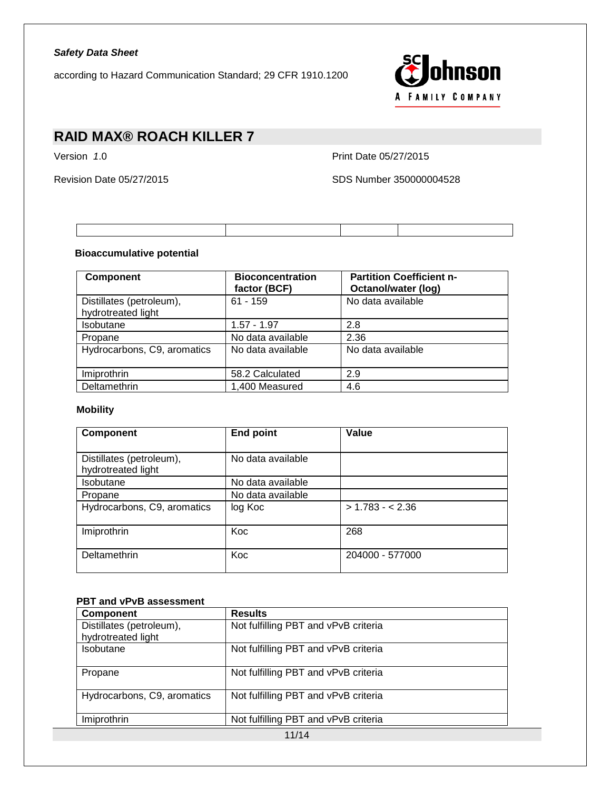according to Hazard Communication Standard; 29 CFR 1910.1200



# **RAID MAX® ROACH KILLER 7**

Version *1*.0 Print Date 05/27/2015

Revision Date 05/27/2015 SDS Number 350000004528

#### **Bioaccumulative potential**

| <b>Component</b>                               | <b>Bioconcentration</b><br>factor (BCF) | <b>Partition Coefficient n-</b><br>Octanol/water (log) |
|------------------------------------------------|-----------------------------------------|--------------------------------------------------------|
| Distillates (petroleum),<br>hydrotreated light | $61 - 159$                              | No data available                                      |
| <b>Isobutane</b>                               | $1.57 - 1.97$                           | 2.8                                                    |
| Propane                                        | No data available                       | 2.36                                                   |
| Hydrocarbons, C9, aromatics                    | No data available                       | No data available                                      |
| Imiprothrin                                    | 58.2 Calculated                         | 2.9                                                    |
| Deltamethrin                                   | 1,400 Measured                          | 4.6                                                    |

#### **Mobility**

| <b>Component</b>                               | <b>End point</b>  | Value            |
|------------------------------------------------|-------------------|------------------|
| Distillates (petroleum),<br>hydrotreated light | No data available |                  |
| <b>Isobutane</b>                               | No data available |                  |
| Propane                                        | No data available |                  |
| Hydrocarbons, C9, aromatics                    | log Koc           | $> 1.783 - 2.36$ |
| Imiprothrin                                    | Koc               | 268              |
| Deltamethrin                                   | Koc               | 204000 - 577000  |

#### **PBT and vPvB assessment**

| <b>Component</b>                               | <b>Results</b>                       |  |
|------------------------------------------------|--------------------------------------|--|
| Distillates (petroleum),<br>hydrotreated light | Not fulfilling PBT and vPvB criteria |  |
| Isobutane                                      | Not fulfilling PBT and vPvB criteria |  |
| Propane                                        | Not fulfilling PBT and vPvB criteria |  |
| Hydrocarbons, C9, aromatics                    | Not fulfilling PBT and vPvB criteria |  |
| Imiprothrin                                    | Not fulfilling PBT and vPvB criteria |  |
| 11/14                                          |                                      |  |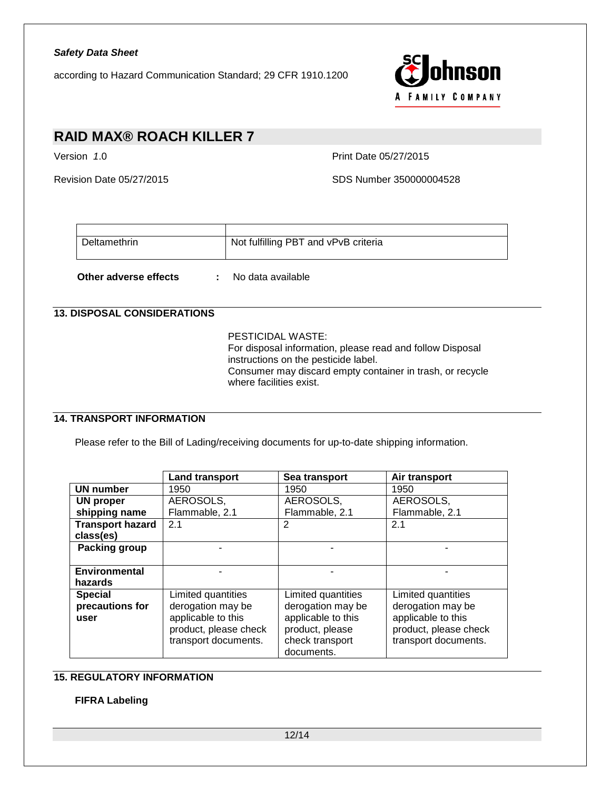according to Hazard Communication Standard; 29 CFR 1910.1200



# **RAID MAX® ROACH KILLER 7**

Version *1*.0 Print Date 05/27/2015

Revision Date 05/27/2015 SDS Number 350000004528

| Deltamethrin | Not fulfilling PBT and vPvB criteria |
|--------------|--------------------------------------|
|              |                                      |

**Other adverse effects :** No data available

## **13. DISPOSAL CONSIDERATIONS**

PESTICIDAL WASTE: For disposal information, please read and follow Disposal instructions on the pesticide label. Consumer may discard empty container in trash, or recycle where facilities exist.

## **14. TRANSPORT INFORMATION**

Please refer to the Bill of Lading/receiving documents for up-to-date shipping information.

|                         | <b>Land transport</b> | Sea transport      | Air transport         |
|-------------------------|-----------------------|--------------------|-----------------------|
| <b>UN number</b>        | 1950                  | 1950               | 1950                  |
| UN proper               | AEROSOLS,             | AEROSOLS,          | AEROSOLS,             |
| shipping name           | Flammable, 2.1        | Flammable, 2.1     | Flammable, 2.1        |
| <b>Transport hazard</b> | 2.1                   | 2                  | 2.1                   |
| class(es)               |                       |                    |                       |
| <b>Packing group</b>    |                       |                    |                       |
|                         |                       |                    |                       |
| <b>Environmental</b>    |                       |                    |                       |
| hazards                 |                       |                    |                       |
| <b>Special</b>          | Limited quantities    | Limited quantities | Limited quantities    |
| precautions for         | derogation may be     | derogation may be  | derogation may be     |
| user                    | applicable to this    | applicable to this | applicable to this    |
|                         | product, please check | product, please    | product, please check |
|                         | transport documents.  | check transport    | transport documents.  |
|                         |                       | documents.         |                       |

## **15. REGULATORY INFORMATION**

#### **FIFRA Labeling**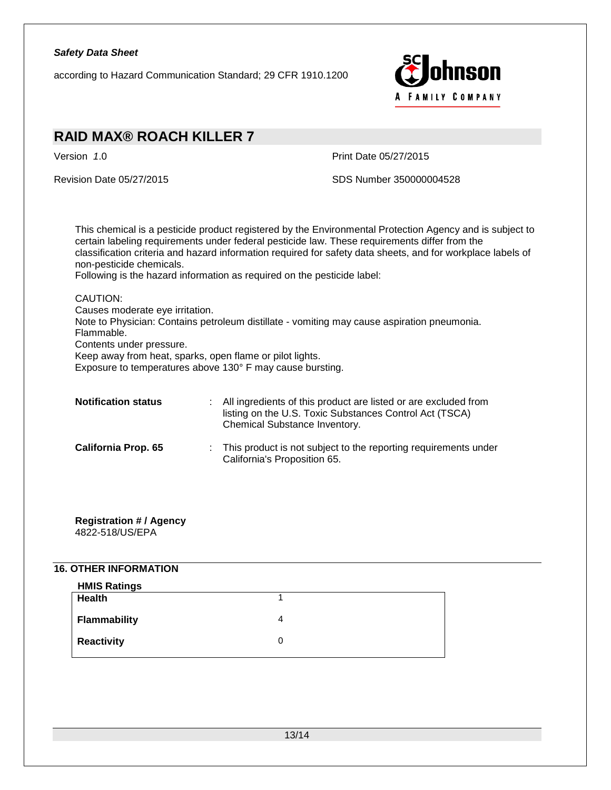according to Hazard Communication Standard; 29 CFR 1910.1200



## **RAID MAX® ROACH KILLER 7** Version *1*.0 Print Date 05/27/2015 Revision Date 05/27/2015 SDS Number 350000004528 This chemical is a pesticide product registered by the Environmental Protection Agency and is subject to certain labeling requirements under federal pesticide law. These requirements differ from the classification criteria and hazard information required for safety data sheets, and for workplace labels of non-pesticide chemicals. Following is the hazard information as required on the pesticide label: CAUTION: Causes moderate eye irritation. Note to Physician: Contains petroleum distillate - vomiting may cause aspiration pneumonia. Flammable. Contents under pressure. Keep away from heat, sparks, open flame or pilot lights. Exposure to temperatures above 130° F may cause bursting. **Notification status** : All ingredients of this product are listed or are excluded from listing on the U.S. Toxic Substances Control Act (TSCA) Chemical Substance Inventory. **California Prop. 65** : This product is not subject to the reporting requirements under California's Proposition 65.

#### **Registration # / Agency** 4822-518/US/EPA

## **16. OTHER INFORMATION**

| <b>HMIS Ratings</b> |                   |
|---------------------|-------------------|
| Health              |                   |
| <b>Flammability</b> | 4                 |
| <b>Reactivity</b>   | $\mathbf{\Omega}$ |